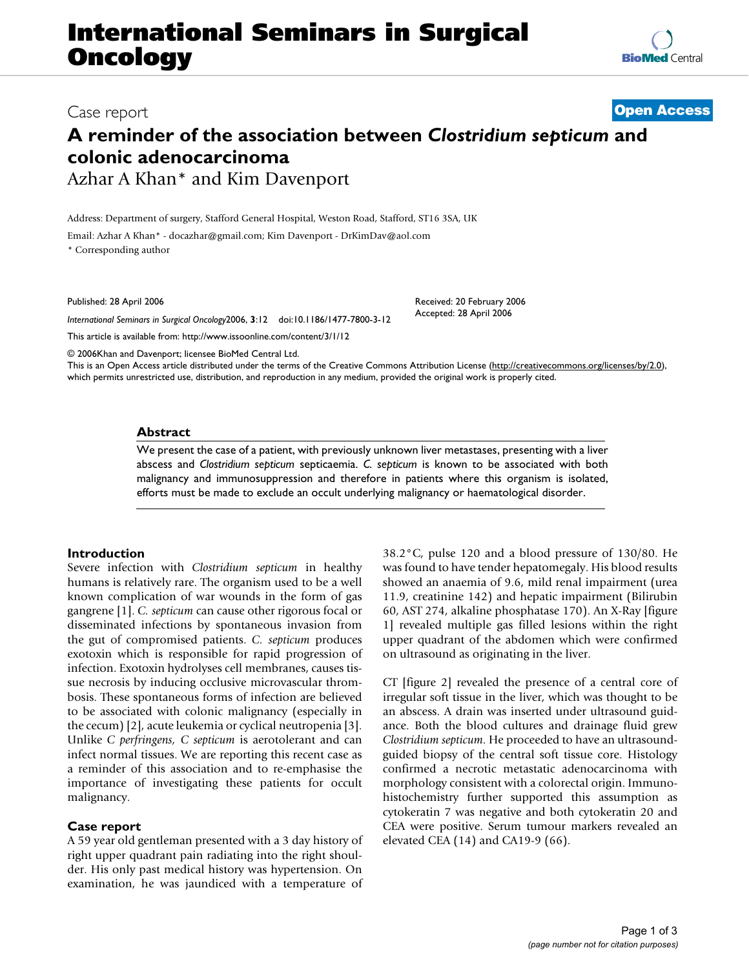## **International Seminars in Surgical Oncology**

# Case report **[Open Access](http://www.biomedcentral.com/info/about/charter/)**

**[BioMed](http://www.biomedcentral.com/)** Central

## **A reminder of the association between** *Clostridium septicum* **and colonic adenocarcinoma** Azhar A Khan\* and Kim Davenport

Address: Department of surgery, Stafford General Hospital, Weston Road, Stafford, ST16 3SA, UK

Email: Azhar A Khan\* - docazhar@gmail.com; Kim Davenport - DrKimDav@aol.com

\* Corresponding author

Published: 28 April 2006

*International Seminars in Surgical Oncology*2006, **3**:12 doi:10.1186/1477-7800-3-12

[This article is available from: http://www.issoonline.com/content/3/1/12](http://www.issoonline.com/content/3/1/12)

© 2006Khan and Davenport; licensee BioMed Central Ltd.

This is an Open Access article distributed under the terms of the Creative Commons Attribution License [\(http://creativecommons.org/licenses/by/2.0\)](http://creativecommons.org/licenses/by/2.0), which permits unrestricted use, distribution, and reproduction in any medium, provided the original work is properly cited.

Received: 20 February 2006 Accepted: 28 April 2006

#### **Abstract**

We present the case of a patient, with previously unknown liver metastases, presenting with a liver abscess and *Clostridium septicum* septicaemia. *C. septicum* is known to be associated with both malignancy and immunosuppression and therefore in patients where this organism is isolated, efforts must be made to exclude an occult underlying malignancy or haematological disorder.

#### **Introduction**

Severe infection with *Clostridium septicum* in healthy humans is relatively rare. The organism used to be a well known complication of war wounds in the form of gas gangrene [1]. *C. septicum* can cause other rigorous focal or disseminated infections by spontaneous invasion from the gut of compromised patients. *C. septicum* produces exotoxin which is responsible for rapid progression of infection. Exotoxin hydrolyses cell membranes, causes tissue necrosis by inducing occlusive microvascular thrombosis. These spontaneous forms of infection are believed to be associated with colonic malignancy (especially in the cecum) [[2](#page-1-0)], acute leukemia or cyclical neutropenia [[3](#page-1-1)]. Unlike *C perfringens, C septicum* is aerotolerant and can infect normal tissues. We are reporting this recent case as a reminder of this association and to re-emphasise the importance of investigating these patients for occult malignancy.

#### **Case report**

A 59 year old gentleman presented with a 3 day history of right upper quadrant pain radiating into the right shoulder. His only past medical history was hypertension. On examination, he was jaundiced with a temperature of 38.2°C, pulse 120 and a blood pressure of 130/80. He was found to have tender hepatomegaly. His blood results showed an anaemia of 9.6, mild renal impairment (urea 11.9, creatinine 142) and hepatic impairment (Bilirubin 60, AST 274, alkaline phosphatase 170). An X-Ray [figure 1] revealed multiple gas filled lesions within the right upper quadrant of the abdomen which were confirmed on ultrasound as originating in the liver.

CT [figure 2] revealed the presence of a central core of irregular soft tissue in the liver, which was thought to be an abscess. A drain was inserted under ultrasound guidance. Both the blood cultures and drainage fluid grew *Clostridium septicum*. He proceeded to have an ultrasoundguided biopsy of the central soft tissue core. Histology confirmed a necrotic metastatic adenocarcinoma with morphology consistent with a colorectal origin. Immunohistochemistry further supported this assumption as cytokeratin 7 was negative and both cytokeratin 20 and CEA were positive. Serum tumour markers revealed an elevated CEA (14) and CA19-9 (66).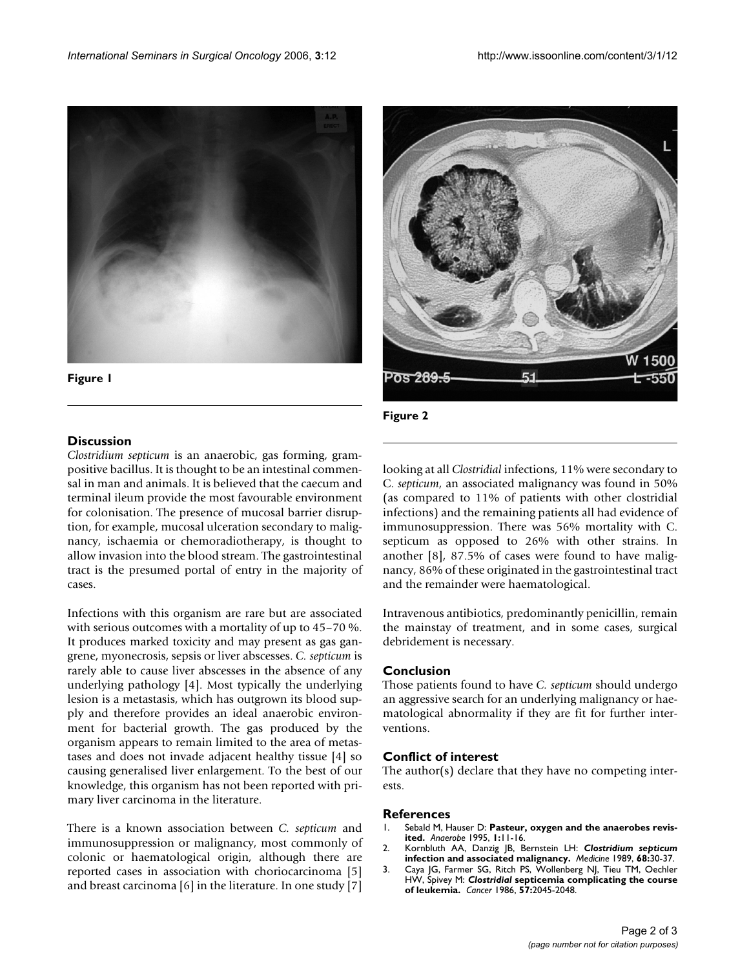

**Figure 1**



**Figure 2**

### **Discussion**

*Clostridium septicum* is an anaerobic, gas forming, grampositive bacillus. It is thought to be an intestinal commensal in man and animals. It is believed that the caecum and terminal ileum provide the most favourable environment for colonisation. The presence of mucosal barrier disruption, for example, mucosal ulceration secondary to malignancy, ischaemia or chemoradiotherapy, is thought to allow invasion into the blood stream. The gastrointestinal tract is the presumed portal of entry in the majority of cases.

Infections with this organism are rare but are associated with serious outcomes with a mortality of up to 45–70 %. It produces marked toxicity and may present as gas gangrene, myonecrosis, sepsis or liver abscesses. *C. septicum* is rarely able to cause liver abscesses in the absence of any underlying pathology [\[4\]](#page-2-0). Most typically the underlying lesion is a metastasis, which has outgrown its blood supply and therefore provides an ideal anaerobic environment for bacterial growth. The gas produced by the organism appears to remain limited to the area of metastases and does not invade adjacent healthy tissue [\[4\]](#page-2-0) so causing generalised liver enlargement. To the best of our knowledge, this organism has not been reported with primary liver carcinoma in the literature.

There is a known association between *C. septicum* and immunosuppression or malignancy, most commonly of colonic or haematological origin, although there are reported cases in association with choriocarcinoma [5] and breast carcinoma [6] in the literature. In one study [\[7\]](#page-2-1)

looking at all *Clostridial* infections, 11% were secondary to C. *septicum*, an associated malignancy was found in 50% (as compared to 11% of patients with other clostridial infections) and the remaining patients all had evidence of immunosuppression. There was 56% mortality with C. septicum as opposed to 26% with other strains. In another [\[8\]](#page-2-2), 87.5% of cases were found to have malignancy, 86% of these originated in the gastrointestinal tract and the remainder were haematological.

Intravenous antibiotics, predominantly penicillin, remain the mainstay of treatment, and in some cases, surgical debridement is necessary.

#### **Conclusion**

Those patients found to have *C. septicum* should undergo an aggressive search for an underlying malignancy or haematological abnormality if they are fit for further interventions.

#### **Conflict of interest**

The author(s) declare that they have no competing interests.

#### **References**

- 1. Sebald M, Hauser D: **Pasteur, oxygen and the anaerobes revisited.** *Anaerobe* 1995, **1:**11-16.
- <span id="page-1-0"></span>2. Kornbluth AA, Danzig JB, Bernstein LH: *Clostridium septicum* **[infection and associated malignancy.](http://www.ncbi.nlm.nih.gov/entrez/query.fcgi?cmd=Retrieve&db=PubMed&dopt=Abstract&list_uids=2642585)** *Medicine* 1989, **68:**30-37.
- <span id="page-1-1"></span>3. Caya JG, Farmer SG, Ritch PS, Wollenberg NJ, Tieu TM, Oechler HW, Spivey M: *Clostridial* **[septicemia complicating the course](http://www.ncbi.nlm.nih.gov/entrez/query.fcgi?cmd=Retrieve&db=PubMed&dopt=Abstract&list_uids=3456820) [of leukemia.](http://www.ncbi.nlm.nih.gov/entrez/query.fcgi?cmd=Retrieve&db=PubMed&dopt=Abstract&list_uids=3456820)** *Cancer* 1986, **57:**2045-2048.